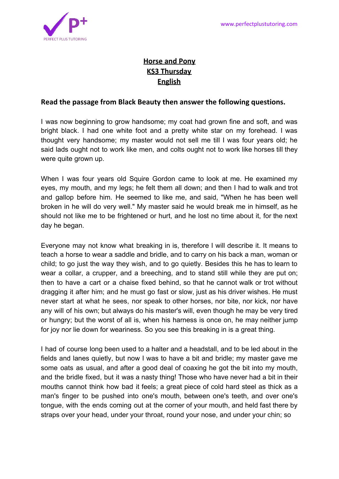

## **Horse and Pony KS3 Thursday English**

## **Read the passage from Black Beauty then answer the following questions.**

I was now beginning to grow handsome; my coat had grown fine and soft, and was bright black. I had one white foot and a pretty white star on my forehead. I was thought very handsome; my master would not sell me till I was four years old; he said lads ought not to work like men, and colts ought not to work like horses till they were quite grown up.

When I was four years old Squire Gordon came to look at me. He examined my eyes, my mouth, and my legs; he felt them all down; and then I had to walk and trot and gallop before him. He seemed to like me, and said, "When he has been well broken in he will do very well." My master said he would break me in himself, as he should not like me to be frightened or hurt, and he lost no time about it, for the next day he began.

Everyone may not know what breaking in is, therefore I will describe it. It means to teach a horse to wear a saddle and bridle, and to carry on his back a man, woman or child; to go just the way they wish, and to go quietly. Besides this he has to learn to wear a collar, a crupper, and a breeching, and to stand still while they are put on; then to have a cart or a chaise fixed behind, so that he cannot walk or trot without dragging it after him; and he must go fast or slow, just as his driver wishes. He must never start at what he sees, nor speak to other horses, nor bite, nor kick, nor have any will of his own; but always do his master's will, even though he may be very tired or hungry; but the worst of all is, when his harness is once on, he may neither jump for joy nor lie down for weariness. So you see this breaking in is a great thing.

I had of course long been used to a halter and a headstall, and to be led about in the fields and lanes quietly, but now I was to have a bit and bridle; my master gave me some oats as usual, and after a good deal of coaxing he got the bit into my mouth, and the bridle fixed, but it was a nasty thing! Those who have never had a bit in their mouths cannot think how bad it feels; a great piece of cold hard steel as thick as a man's finger to be pushed into one's mouth, between one's teeth, and over one's tongue, with the ends coming out at the corner of your mouth, and held fast there by straps over your head, under your throat, round your nose, and under your chin; so